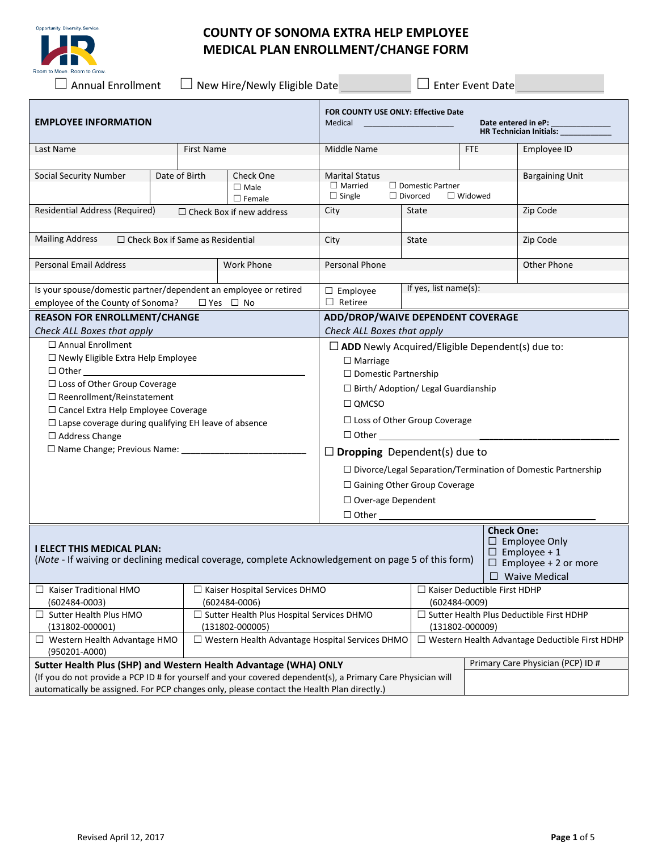



# **COUNTY OF SONOMA EXTRA HELP EMPLOYEE MEDICAL PLAN ENROLLMENT/CHANGE FORM**

☐ Annual Enrollment ☐ New Hire/Newly Eligible Date ☐ Enter Event Date

| <b>EMPLOYEE INFORMATION</b>                                                                                                             |                                                                   |               | FOR COUNTY USE ONLY: Effective Date<br>Medical<br>Date entered in eP:<br><b>HR Technician Initials:</b> |                                                                                                                          |                                   |                                                       |                                                                                                    |  |
|-----------------------------------------------------------------------------------------------------------------------------------------|-------------------------------------------------------------------|---------------|---------------------------------------------------------------------------------------------------------|--------------------------------------------------------------------------------------------------------------------------|-----------------------------------|-------------------------------------------------------|----------------------------------------------------------------------------------------------------|--|
| Last Name                                                                                                                               | First Name                                                        |               |                                                                                                         | Middle Name<br>FTE                                                                                                       |                                   |                                                       | Employee ID                                                                                        |  |
| Social Security Number                                                                                                                  |                                                                   | Date of Birth | Check One<br>$\Box$ Male<br>$\Box$ Female                                                               | <b>Marital Status</b><br>$\Box$ Married<br>$\Box$ Domestic Partner<br>$\Box$ Single<br>$\Box$ Divorced<br>$\Box$ Widowed |                                   | <b>Bargaining Unit</b>                                |                                                                                                    |  |
|                                                                                                                                         | Residential Address (Required)<br>$\Box$ Check Box if new address |               |                                                                                                         | City                                                                                                                     | State                             |                                                       | Zip Code                                                                                           |  |
| <b>Mailing Address</b><br>$\Box$ Check Box if Same as Residential                                                                       |                                                                   |               | City                                                                                                    | State                                                                                                                    |                                   | Zip Code                                              |                                                                                                    |  |
| <b>Personal Email Address</b>                                                                                                           |                                                                   |               | <b>Work Phone</b>                                                                                       | Personal Phone                                                                                                           |                                   |                                                       | Other Phone                                                                                        |  |
| Is your spouse/domestic partner/dependent an employee or retired<br>employee of the County of Sonoma?<br>$\Box$ Yes $\Box$ No           |                                                                   |               | $\square$ Employee<br>$\Box$ Retiree                                                                    |                                                                                                                          | If yes, list name(s):             |                                                       |                                                                                                    |  |
| <b>REASON FOR ENROLLMENT/CHANGE</b>                                                                                                     |                                                                   |               |                                                                                                         | ADD/DROP/WAIVE DEPENDENT COVERAGE                                                                                        |                                   |                                                       |                                                                                                    |  |
| Check ALL Boxes that apply                                                                                                              |                                                                   |               |                                                                                                         | Check ALL Boxes that apply                                                                                               |                                   |                                                       |                                                                                                    |  |
| $\Box$ Annual Enrollment<br>$\Box$ Newly Eligible Extra Help Employee                                                                   |                                                                   |               |                                                                                                         | $\Box$ ADD Newly Acquired/Eligible Dependent(s) due to:                                                                  |                                   |                                                       |                                                                                                    |  |
|                                                                                                                                         |                                                                   |               |                                                                                                         | $\Box$ Marriage                                                                                                          |                                   |                                                       |                                                                                                    |  |
| □ Loss of Other Group Coverage                                                                                                          |                                                                   |               |                                                                                                         | $\Box$ Domestic Partnership                                                                                              |                                   |                                                       |                                                                                                    |  |
| $\Box$ Reenrollment/Reinstatement                                                                                                       |                                                                   |               |                                                                                                         | □ Birth/ Adoption/ Legal Guardianship                                                                                    |                                   |                                                       |                                                                                                    |  |
| □ Cancel Extra Help Employee Coverage                                                                                                   |                                                                   |               |                                                                                                         | $\square$ QMCSO                                                                                                          |                                   |                                                       |                                                                                                    |  |
| $\Box$ Lapse coverage during qualifying EH leave of absence                                                                             |                                                                   |               |                                                                                                         | $\Box$ Loss of Other Group Coverage                                                                                      |                                   |                                                       |                                                                                                    |  |
| $\Box$ Address Change                                                                                                                   |                                                                   |               |                                                                                                         | $\Box$ Other $\Box$                                                                                                      |                                   |                                                       |                                                                                                    |  |
|                                                                                                                                         |                                                                   |               | <b>Dropping</b> Dependent(s) due to<br>□                                                                |                                                                                                                          |                                   |                                                       |                                                                                                    |  |
|                                                                                                                                         |                                                                   |               | $\Box$ Divorce/Legal Separation/Termination of Domestic Partnership                                     |                                                                                                                          |                                   |                                                       |                                                                                                    |  |
|                                                                                                                                         |                                                                   |               |                                                                                                         | $\Box$ Gaining Other Group Coverage                                                                                      |                                   |                                                       |                                                                                                    |  |
|                                                                                                                                         |                                                                   |               |                                                                                                         | $\Box$ Over-age Dependent                                                                                                |                                   |                                                       |                                                                                                    |  |
|                                                                                                                                         |                                                                   |               | $\Box$ Other                                                                                            |                                                                                                                          |                                   |                                                       |                                                                                                    |  |
| <b>I ELECT THIS MEDICAL PLAN:</b><br>(Note - If waiving or declining medical coverage, complete Acknowledgement on page 5 of this form) |                                                                   |               |                                                                                                         |                                                                                                                          |                                   | <b>Check One:</b>                                     | $\Box$ Employee Only<br>$\Box$ Employee + 1<br>$\Box$ Employee + 2 or more<br>$\Box$ Waive Medical |  |
| Kaiser Traditional HMO                                                                                                                  |                                                                   |               | $\Box$ Kaiser Hospital Services DHMO                                                                    |                                                                                                                          |                                   | $\Box$ Kaiser Deductible First HDHP                   |                                                                                                    |  |
| $(602484 - 0003)$                                                                                                                       |                                                                   |               | $(602484 - 0006)$                                                                                       |                                                                                                                          |                                   | $(602484 - 0009)$                                     |                                                                                                    |  |
| $\Box$ Sutter Health Plus HMO                                                                                                           |                                                                   |               | $\Box$ Sutter Health Plus Hospital Services DHMO                                                        |                                                                                                                          |                                   | $\Box$ Sutter Health Plus Deductible First HDHP       |                                                                                                    |  |
| $(131802 - 000001)$                                                                                                                     |                                                                   |               | $(131802 - 000005)$                                                                                     | $(131802 - 000009)$                                                                                                      |                                   |                                                       |                                                                                                    |  |
| $\Box$ Western Health Advantage HMO<br>(950201-A000)                                                                                    |                                                                   |               | $\Box$ Western Health Advantage Hospital Services DHMO                                                  |                                                                                                                          |                                   | $\Box$ Western Health Advantage Deductible First HDHP |                                                                                                    |  |
| Sutter Health Plus (SHP) and Western Health Advantage (WHA) ONLY                                                                        |                                                                   |               |                                                                                                         |                                                                                                                          | Primary Care Physician (PCP) ID # |                                                       |                                                                                                    |  |
| (If you do not provide a PCP ID # for yourself and your covered dependent(s), a Primary Care Physician will                             |                                                                   |               |                                                                                                         |                                                                                                                          |                                   |                                                       |                                                                                                    |  |
| automatically be assigned. For PCP changes only, please contact the Health Plan directly.)                                              |                                                                   |               |                                                                                                         |                                                                                                                          |                                   |                                                       |                                                                                                    |  |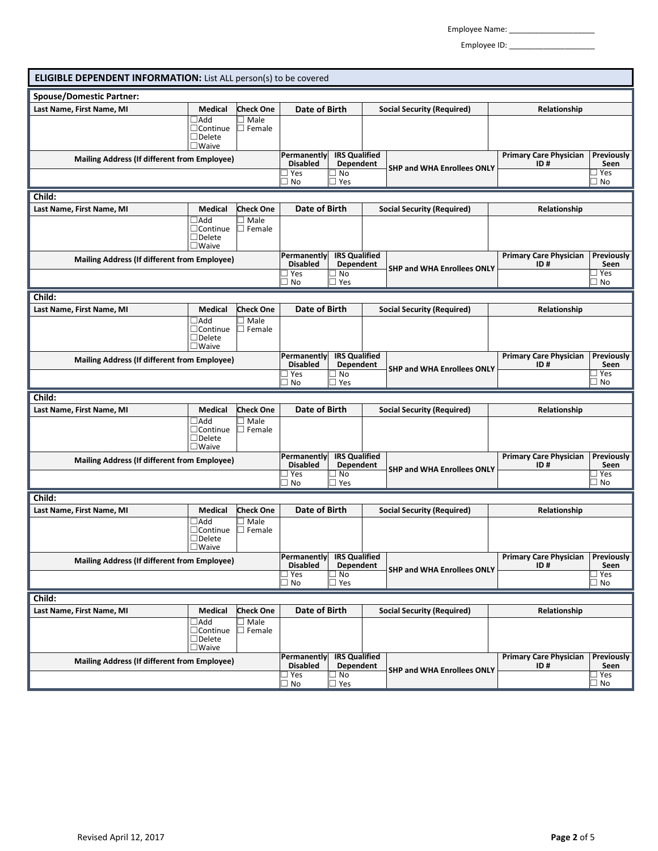Employee Name: \_\_\_\_\_\_\_\_\_\_\_\_\_\_\_\_\_\_\_\_

Employee ID: \_\_\_\_\_\_\_\_\_\_\_\_\_\_\_\_\_\_\_\_

| <b>ELIGIBLE DEPENDENT INFORMATION:</b> List ALL person(s) to be covered |                                                                   |                              |                                                                                                |                                                   |                                   |                                   |                                      |                                              |
|-------------------------------------------------------------------------|-------------------------------------------------------------------|------------------------------|------------------------------------------------------------------------------------------------|---------------------------------------------------|-----------------------------------|-----------------------------------|--------------------------------------|----------------------------------------------|
| <b>Spouse/Domestic Partner:</b>                                         |                                                                   |                              |                                                                                                |                                                   |                                   |                                   |                                      |                                              |
| Last Name, First Name, MI                                               | Medical                                                           | <b>Check One</b>             | Date of Birth                                                                                  |                                                   | <b>Social Security (Required)</b> | Relationship                      |                                      |                                              |
|                                                                         | $\Box$ Add<br>$\Box$ Continue<br>$\Box$ Delete<br>$\square$ Waive | Male<br>Female               |                                                                                                |                                                   |                                   |                                   |                                      |                                              |
| <b>Mailing Address (If different from Employee)</b>                     |                                                                   |                              | <b>Permanently</b><br><b>Disabled</b><br>∃ Yes                                                 | <b>IRS Qualified</b><br>Dependent<br>$\exists$ No |                                   | <b>SHP and WHA Enrollees ONLY</b> | <b>Primary Care Physician</b><br>ID# | <b>Previously</b><br>Seen<br>$\exists$ Yes   |
|                                                                         |                                                                   |                              | ∃ No                                                                                           | ∃ Yes                                             |                                   |                                   |                                      | _ No                                         |
| Child:                                                                  |                                                                   |                              |                                                                                                |                                                   |                                   |                                   |                                      |                                              |
| Last Name, First Name, MI                                               | Medical                                                           | <b>Check One</b>             | <b>Date of Birth</b>                                                                           |                                                   |                                   | <b>Social Security (Required)</b> | Relationship                         |                                              |
|                                                                         | $\Box$ Add<br>$\Box$ Continue<br>$\Box$ Delete<br>$\square$ Waive | $\Box$ Male<br>$\Box$ Female |                                                                                                |                                                   |                                   |                                   |                                      |                                              |
| <b>Mailing Address (If different from Employee)</b>                     |                                                                   |                              | Permanently<br><b>Disabled</b><br>∃ Yes                                                        | <b>IRS Qualified</b><br>Dependent<br>∃ No         |                                   | <b>SHP and WHA Enrollees ONLY</b> | <b>Primary Care Physician</b><br>ID# | Previously<br>Seen<br>∃ Yes                  |
|                                                                         |                                                                   |                              | ∐ No                                                                                           | ∃ Yes                                             |                                   |                                   |                                      | ∐ No                                         |
| Child:                                                                  |                                                                   |                              |                                                                                                |                                                   |                                   |                                   |                                      |                                              |
| Last Name, First Name, MI                                               | Medical                                                           | <b>Check One</b>             | Date of Birth                                                                                  |                                                   |                                   | <b>Social Security (Required)</b> | Relationship                         |                                              |
|                                                                         | $\Box$ Add<br>$\Box$ Continue<br>$\Box$ Delete<br>$\square$ Waive | Male<br>$\Box$ Female        |                                                                                                |                                                   |                                   |                                   |                                      |                                              |
| <b>Mailing Address (If different from Employee)</b>                     |                                                                   |                              | Permanently                                                                                    | <b>IRS Qualified</b>                              |                                   |                                   | <b>Primary Care Physician</b>        | Previously                                   |
|                                                                         |                                                                   |                              | <b>Disabled</b><br>∃ Yes<br>$\Box$ No                                                          | Dependent<br>∃ No<br>$\Box$ Yes                   |                                   | <b>SHP and WHA Enrollees ONLY</b> | ID#                                  | Seen<br>$\exists$ Yes<br>$\Box$ No           |
| Child:                                                                  |                                                                   |                              |                                                                                                |                                                   |                                   |                                   |                                      |                                              |
| Last Name, First Name, MI                                               | Medical                                                           | <b>Check One</b>             | Date of Birth                                                                                  |                                                   |                                   | <b>Social Security (Required)</b> | Relationship                         |                                              |
|                                                                         | $\Box$ Add<br>$\Box$ Continue<br>$\Box$ Delete<br>$\square$ Waive | $\Box$ Male<br>$\Box$ Female |                                                                                                |                                                   |                                   |                                   |                                      |                                              |
| <b>Mailing Address (If different from Employee)</b>                     |                                                                   |                              | <b>IRS</b> Qualified<br>Permanently                                                            |                                                   | <b>Primary Care Physician</b>     | Previously                        |                                      |                                              |
|                                                                         |                                                                   |                              | <b>Disabled</b><br>∃ Yes<br>∃ No                                                               | Dependent<br>∃ No<br>□ Yes                        |                                   | <b>SHP and WHA Enrollees ONLY</b> | ID#                                  | Seen<br>∃ Yes<br>_ No                        |
| Child:                                                                  |                                                                   |                              |                                                                                                |                                                   |                                   |                                   |                                      |                                              |
| Last Name, First Name, MI                                               | Medical                                                           | <b>Check One</b>             | Date of Birth                                                                                  |                                                   |                                   | <b>Social Security (Required)</b> | Relationship                         |                                              |
|                                                                         | $\Box$ Add<br>$\Box$ Continue<br>$\Box$ Delete<br>$\square$ Waive | $\Box$ Male<br>$\Box$ Female |                                                                                                |                                                   |                                   |                                   |                                      |                                              |
| <b>Mailing Address (If different from Employee)</b>                     |                                                                   |                              | <b>IRS Qualified</b><br>Permanently<br><b>Disabled</b><br>Dependent<br>$\sqsupset$ Yes<br>∃ No |                                                   |                                   | <b>SHP and WHA Enrollees ONLY</b> | <b>Primary Care Physician</b><br>ID# | <b>Previously</b><br>Seen<br>$\sqsupset$ Yes |
|                                                                         |                                                                   |                              | $\Box$ No                                                                                      | $\Box$ Yes                                        |                                   |                                   |                                      | $\Box$ No                                    |
| Child:                                                                  |                                                                   |                              |                                                                                                |                                                   |                                   |                                   |                                      |                                              |
| Last Name, First Name, MI                                               | Medical                                                           | <b>Check One</b>             | Date of Birth                                                                                  |                                                   |                                   | <b>Social Security (Required)</b> | Relationship                         |                                              |
|                                                                         | $\Box$ Add<br>$\Box$ Continue<br>$\Box$ Delete<br>$\square$ Waive | $\Box$ Male<br>$\Box$ Female |                                                                                                |                                                   |                                   |                                   |                                      |                                              |
| <b>Mailing Address (If different from Employee)</b>                     |                                                                   |                              | Permanently<br><b>Disabled</b><br>∃ Yes                                                        | <b>IRS Qualified</b><br>Dependent<br>$\Box$ No    | <b>SHP and WHA Enrollees ONLY</b> |                                   | <b>Primary Care Physician</b><br>ID# | Previously<br>Seen<br>$\sqsupset$ Yes        |
|                                                                         |                                                                   |                              | $\Box$ No                                                                                      | □ Yes                                             |                                   |                                   |                                      | $\Box$ No                                    |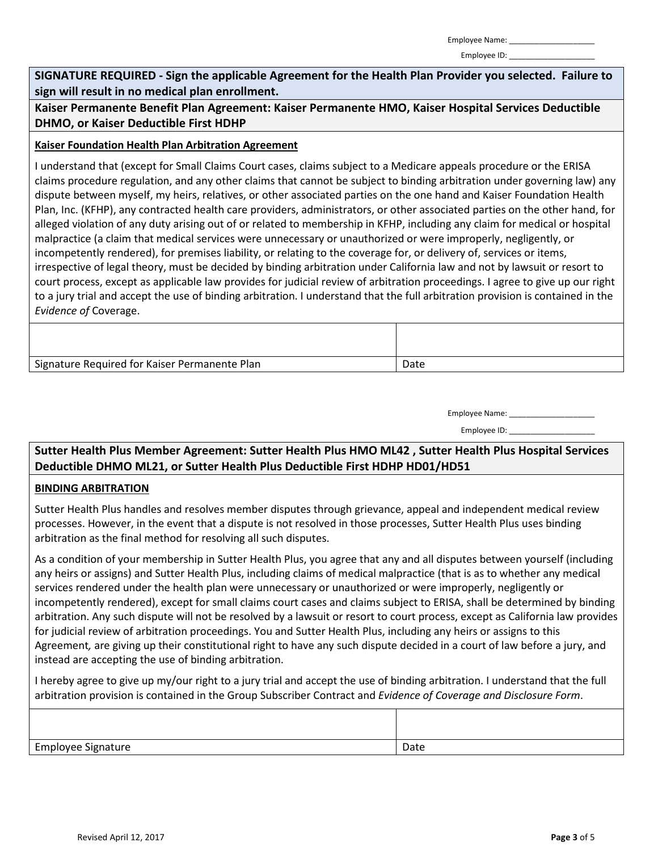Employee ID:

**SIGNATURE REQUIRED - Sign the applicable Agreement for the Health Plan Provider you selected. Failure to sign will result in no medical plan enrollment.**

**Kaiser Permanente Benefit Plan Agreement: Kaiser Permanente HMO, Kaiser Hospital Services Deductible DHMO, or Kaiser Deductible First HDHP**

### **Kaiser Foundation Health Plan Arbitration Agreement**

I understand that (except for Small Claims Court cases, claims subject to a Medicare appeals procedure or the ERISA claims procedure regulation, and any other claims that cannot be subject to binding arbitration under governing law) any dispute between myself, my heirs, relatives, or other associated parties on the one hand and Kaiser Foundation Health Plan, Inc. (KFHP), any contracted health care providers, administrators, or other associated parties on the other hand, for alleged violation of any duty arising out of or related to membership in KFHP, including any claim for medical or hospital malpractice (a claim that medical services were unnecessary or unauthorized or were improperly, negligently, or incompetently rendered), for premises liability, or relating to the coverage for, or delivery of, services or items, irrespective of legal theory, must be decided by binding arbitration under California law and not by lawsuit or resort to court process, except as applicable law provides for judicial review of arbitration proceedings. I agree to give up our right to a jury trial and accept the use of binding arbitration. I understand that the full arbitration provision is contained in the *Evidence of* Coverage.

| Signature Required for Kaiser Permanente Plan | Date |
|-----------------------------------------------|------|

| Employee Name: |  |
|----------------|--|
|----------------|--|

| Employee ID: |  |
|--------------|--|
|--------------|--|

**Sutter Health Plus Member Agreement: Sutter Health Plus HMO ML42 , Sutter Health Plus Hospital Services Deductible DHMO ML21, or Sutter Health Plus Deductible First HDHP HD01/HD51**

#### **BINDING ARBITRATION**

Sutter Health Plus handles and resolves member disputes through grievance, appeal and independent medical review processes. However, in the event that a dispute is not resolved in those processes, Sutter Health Plus uses binding arbitration as the final method for resolving all such disputes.

As a condition of your membership in Sutter Health Plus, you agree that any and all disputes between yourself (including any heirs or assigns) and Sutter Health Plus, including claims of medical malpractice (that is as to whether any medical services rendered under the health plan were unnecessary or unauthorized or were improperly, negligently or incompetently rendered), except for small claims court cases and claims subject to ERISA, shall be determined by binding arbitration. Any such dispute will not be resolved by a lawsuit or resort to court process, except as California law provides for judicial review of arbitration proceedings. You and Sutter Health Plus, including any heirs or assigns to this Agreement*,* are giving up their constitutional right to have any such dispute decided in a court of law before a jury, and instead are accepting the use of binding arbitration.

I hereby agree to give up my/our right to a jury trial and accept the use of binding arbitration. I understand that the full arbitration provision is contained in the Group Subscriber Contract and *Evidence of Coverage and Disclosure Form*.

| Employee Signature | Date |
|--------------------|------|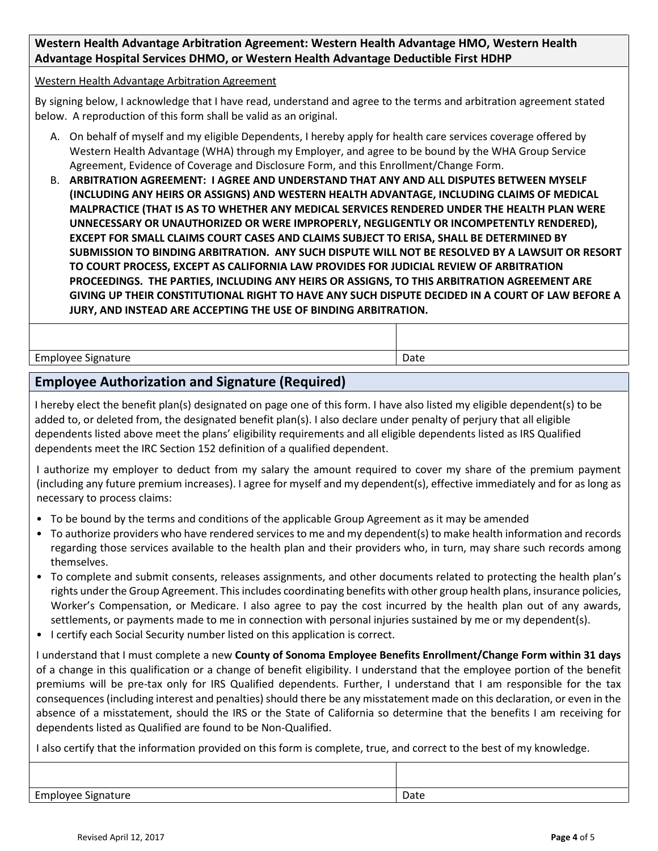## **Western Health Advantage Arbitration Agreement: Western Health Advantage HMO, Western Health Advantage Hospital Services DHMO, or Western Health Advantage Deductible First HDHP**

#### Western Health Advantage Arbitration Agreement

By signing below, I acknowledge that I have read, understand and agree to the terms and arbitration agreement stated below. A reproduction of this form shall be valid as an original.

- A. On behalf of myself and my eligible Dependents, I hereby apply for health care services coverage offered by Western Health Advantage (WHA) through my Employer, and agree to be bound by the WHA Group Service Agreement, Evidence of Coverage and Disclosure Form, and this Enrollment/Change Form.
- B. **ARBITRATION AGREEMENT: I AGREE AND UNDERSTAND THAT ANY AND ALL DISPUTES BETWEEN MYSELF (INCLUDING ANY HEIRS OR ASSIGNS) AND WESTERN HEALTH ADVANTAGE, INCLUDING CLAIMS OF MEDICAL MALPRACTICE (THAT IS AS TO WHETHER ANY MEDICAL SERVICES RENDERED UNDER THE HEALTH PLAN WERE UNNECESSARY OR UNAUTHORIZED OR WERE IMPROPERLY, NEGLIGENTLY OR INCOMPETENTLY RENDERED), EXCEPT FOR SMALL CLAIMS COURT CASES AND CLAIMS SUBJECT TO ERISA, SHALL BE DETERMINED BY SUBMISSION TO BINDING ARBITRATION. ANY SUCH DISPUTE WILL NOT BE RESOLVED BY A LAWSUIT OR RESORT TO COURT PROCESS, EXCEPT AS CALIFORNIA LAW PROVIDES FOR JUDICIAL REVIEW OF ARBITRATION PROCEEDINGS. THE PARTIES, INCLUDING ANY HEIRS OR ASSIGNS, TO THIS ARBITRATION AGREEMENT ARE GIVING UP THEIR CONSTITUTIONAL RIGHT TO HAVE ANY SUCH DISPUTE DECIDED IN A COURT OF LAW BEFORE A JURY, AND INSTEAD ARE ACCEPTING THE USE OF BINDING ARBITRATION.**

Employee Signature **Date 2018** and 2018 and 2019 and 2019 and 2019 and 2019 and 2019 and 2019 and 2019 and 2019 and 2019 and 2019 and 2019 and 2019 and 2019 and 2019 and 2019 and 2019 and 2019 and 2019 and 2019 and 2019 an

## **Employee Authorization and Signature (Required)**

I hereby elect the benefit plan(s) designated on page one of this form. I have also listed my eligible dependent(s) to be added to, or deleted from, the designated benefit plan(s). I also declare under penalty of perjury that all eligible dependents listed above meet the plans' eligibility requirements and all eligible dependents listed as IRS Qualified dependents meet the IRC Section 152 definition of a qualified dependent.

I authorize my employer to deduct from my salary the amount required to cover my share of the premium payment (including any future premium increases). I agree for myself and my dependent(s), effective immediately and for as long as necessary to process claims:

- To be bound by the terms and conditions of the applicable Group Agreement as it may be amended
- To authorize providers who have rendered services to me and my dependent(s) to make health information and records regarding those services available to the health plan and their providers who, in turn, may share such records among themselves.
- To complete and submit consents, releases assignments, and other documents related to protecting the health plan's rights under the Group Agreement. This includes coordinating benefits with other group health plans, insurance policies, Worker's Compensation, or Medicare. I also agree to pay the cost incurred by the health plan out of any awards, settlements, or payments made to me in connection with personal injuries sustained by me or my dependent(s).
- I certify each Social Security number listed on this application is correct.

I understand that I must complete a new **County of Sonoma Employee Benefits Enrollment/Change Form within 31 days** of a change in this qualification or a change of benefit eligibility. I understand that the employee portion of the benefit premiums will be pre-tax only for IRS Qualified dependents. Further, I understand that I am responsible for the tax consequences (including interest and penalties) should there be any misstatement made on this declaration, or even in the absence of a misstatement, should the IRS or the State of California so determine that the benefits I am receiving for dependents listed as Qualified are found to be Non-Qualified.

I also certify that the information provided on this form is complete, true, and correct to the best of my knowledge.

| <b>Employee Signature</b> | Date |
|---------------------------|------|
|                           |      |